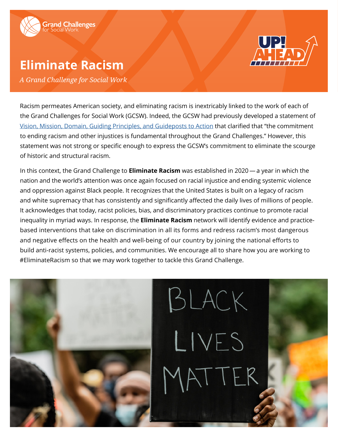

# **Eliminate Racism**



*A Grand Challenge for Social Work*

Racism permeates American society, and eliminating racism is inextricably linked to the work of each of the Grand Challenges for Social Work (GCSW). Indeed, the GCSW had previously developed a statement of [Vision, Mission, Domain, Guiding Principles, and Guideposts to Action](https://grandchallengesforsocialwork.org/wp-content/uploads/2019/09/GCSW-Principles-2-5-19.pdf) that clarified that "the commitment to ending racism and other injustices is fundamental throughout the Grand Challenges." However, this statement was not strong or specific enough to express the GCSW's commitment to eliminate the scourge of historic and structural racism.

In this context, the Grand Challenge to **Eliminate Racism** was established in 2020 — a year in which the nation and the world's attention was once again focused on racial injustice and ending systemic violence and oppression against Black people. It recognizes that the United States is built on a legacy of racism and white supremacy that has consistently and significantly affected the daily lives of millions of people. It acknowledges that today, racist policies, bias, and discriminatory practices continue to promote racial inequality in myriad ways. In response, the **Eliminate Racism** network will identify evidence and practicebased interventions that take on discrimination in all its forms and redress racism's most dangerous and negative effects on the health and well-being of our country by joining the national efforts to build anti-racist systems, policies, and communities. We encourage all to share how you are working to #EliminateRacism so that we may work together to tackle this Grand Challenge.